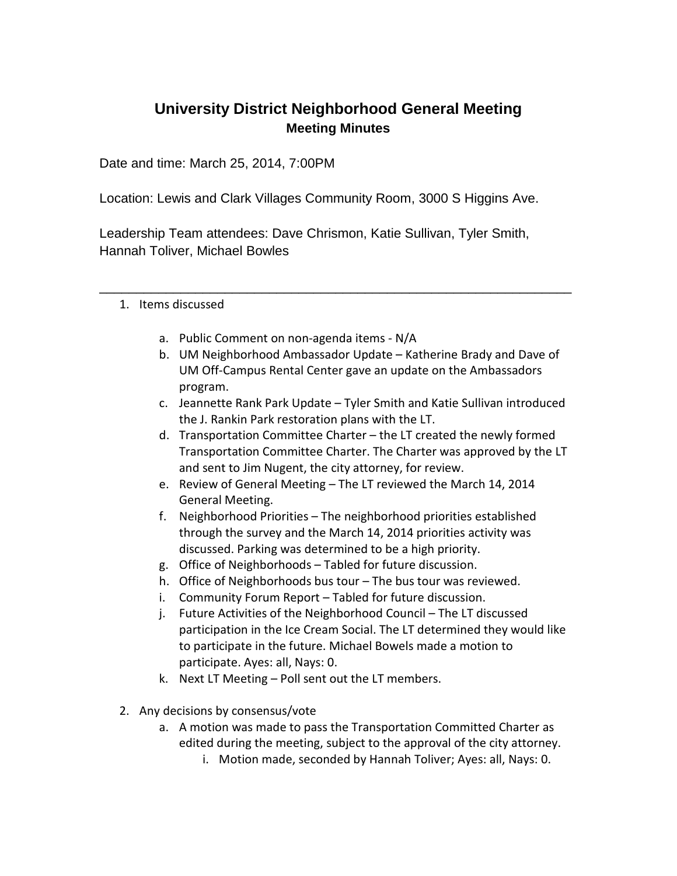# **University District Neighborhood General Meeting Meeting Minutes**

Date and time: March 25, 2014, 7:00PM

Location: Lewis and Clark Villages Community Room, 3000 S Higgins Ave.

Leadership Team attendees: Dave Chrismon, Katie Sullivan, Tyler Smith, Hannah Toliver, Michael Bowles

\_\_\_\_\_\_\_\_\_\_\_\_\_\_\_\_\_\_\_\_\_\_\_\_\_\_\_\_\_\_\_\_\_\_\_\_\_\_\_\_\_\_\_\_\_\_\_\_\_\_\_\_\_\_\_\_\_\_\_\_\_\_\_\_

- 1. Items discussed
	- a. Public Comment on non-agenda items N/A
	- b. UM Neighborhood Ambassador Update Katherine Brady and Dave of UM Off-Campus Rental Center gave an update on the Ambassadors program.
	- c. Jeannette Rank Park Update Tyler Smith and Katie Sullivan introduced the J. Rankin Park restoration plans with the LT.
	- d. Transportation Committee Charter the LT created the newly formed Transportation Committee Charter. The Charter was approved by the LT and sent to Jim Nugent, the city attorney, for review.
	- e. Review of General Meeting The LT reviewed the March 14, 2014 General Meeting.
	- f. Neighborhood Priorities The neighborhood priorities established through the survey and the March 14, 2014 priorities activity was discussed. Parking was determined to be a high priority.
	- g. Office of Neighborhoods Tabled for future discussion.
	- h. Office of Neighborhoods bus tour The bus tour was reviewed.
	- i. Community Forum Report Tabled for future discussion.
	- j. Future Activities of the Neighborhood Council The LT discussed participation in the Ice Cream Social. The LT determined they would like to participate in the future. Michael Bowels made a motion to participate. Ayes: all, Nays: 0.
	- k. Next LT Meeting Poll sent out the LT members.
- 2. Any decisions by consensus/vote
	- a. A motion was made to pass the Transportation Committed Charter as edited during the meeting, subject to the approval of the city attorney.
		- i. Motion made, seconded by Hannah Toliver; Ayes: all, Nays: 0.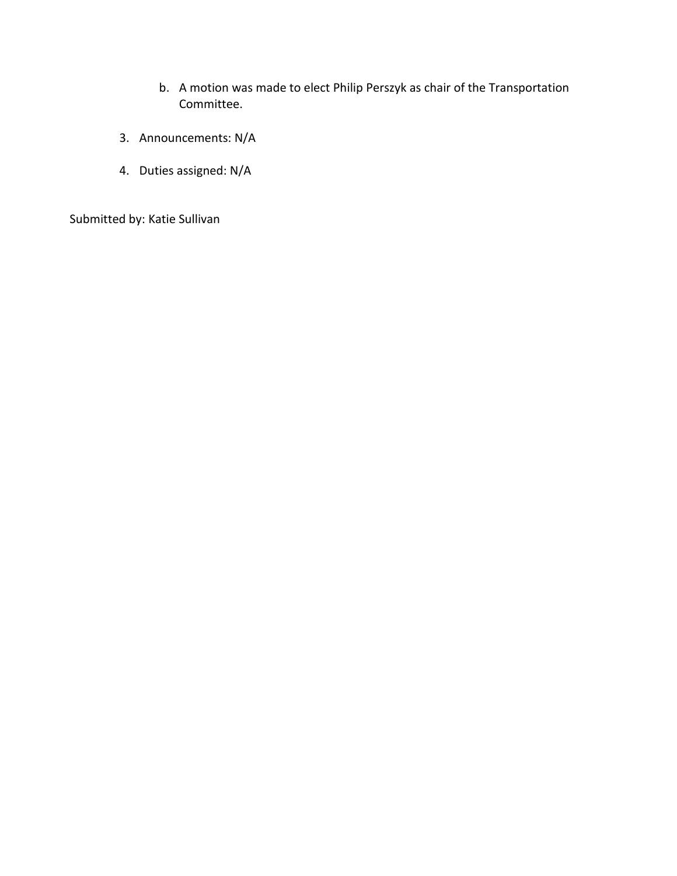- b. A motion was made to elect Philip Perszyk as chair of the Transportation Committee.
- 3. Announcements: N/A
- 4. Duties assigned: N/A

Submitted by: Katie Sullivan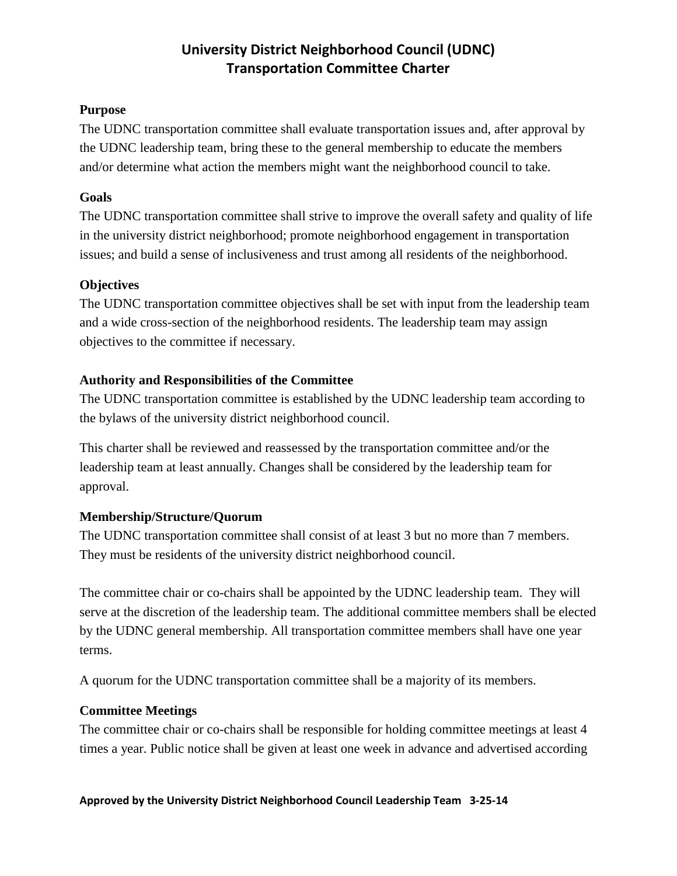## **University District Neighborhood Council (UDNC) Transportation Committee Charter**

#### **Purpose**

The UDNC transportation committee shall evaluate transportation issues and, after approval by the UDNC leadership team, bring these to the general membership to educate the members and/or determine what action the members might want the neighborhood council to take.

#### **Goals**

The UDNC transportation committee shall strive to improve the overall safety and quality of life in the university district neighborhood; promote neighborhood engagement in transportation issues; and build a sense of inclusiveness and trust among all residents of the neighborhood.

### **Objectives**

The UDNC transportation committee objectives shall be set with input from the leadership team and a wide cross-section of the neighborhood residents. The leadership team may assign objectives to the committee if necessary.

### **Authority and Responsibilities of the Committee**

The UDNC transportation committee is established by the UDNC leadership team according to the bylaws of the university district neighborhood council.

This charter shall be reviewed and reassessed by the transportation committee and/or the leadership team at least annually. Changes shall be considered by the leadership team for approval.

### **Membership/Structure/Quorum**

The UDNC transportation committee shall consist of at least 3 but no more than 7 members. They must be residents of the university district neighborhood council.

The committee chair or co-chairs shall be appointed by the UDNC leadership team. They will serve at the discretion of the leadership team. The additional committee members shall be elected by the UDNC general membership. All transportation committee members shall have one year terms.

A quorum for the UDNC transportation committee shall be a majority of its members.

### **Committee Meetings**

The committee chair or co-chairs shall be responsible for holding committee meetings at least 4 times a year. Public notice shall be given at least one week in advance and advertised according

#### **Approved by the University District Neighborhood Council Leadership Team 3-25-14**